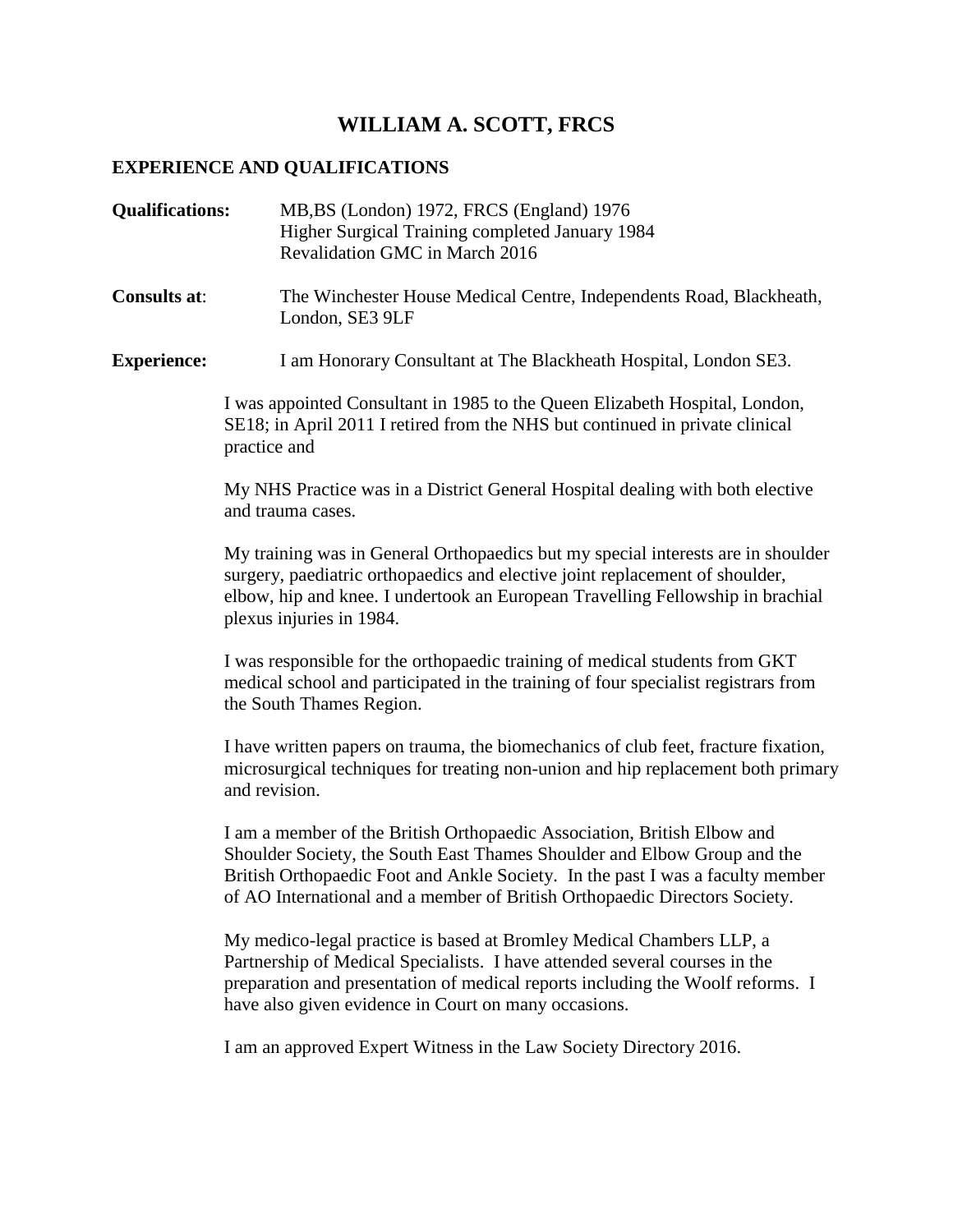## **WILLIAM A. SCOTT, FRCS**

## **EXPERIENCE AND QUALIFICATIONS**

| <b>Qualifications:</b> | MB, BS (London) 1972, FRCS (England) 1976<br>Higher Surgical Training completed January 1984<br>Revalidation GMC in March 2016                                                                                                                                                                                      |
|------------------------|---------------------------------------------------------------------------------------------------------------------------------------------------------------------------------------------------------------------------------------------------------------------------------------------------------------------|
| <b>Consults at:</b>    | The Winchester House Medical Centre, Independents Road, Blackheath,<br>London, SE3 9LF                                                                                                                                                                                                                              |
| <b>Experience:</b>     | I am Honorary Consultant at The Blackheath Hospital, London SE3.                                                                                                                                                                                                                                                    |
|                        | I was appointed Consultant in 1985 to the Queen Elizabeth Hospital, London,<br>SE18; in April 2011 I retired from the NHS but continued in private clinical<br>practice and                                                                                                                                         |
|                        | My NHS Practice was in a District General Hospital dealing with both elective<br>and trauma cases.                                                                                                                                                                                                                  |
|                        | My training was in General Orthopaedics but my special interests are in shoulder<br>surgery, paediatric orthopaedics and elective joint replacement of shoulder,<br>elbow, hip and knee. I undertook an European Travelling Fellowship in brachial<br>plexus injuries in 1984.                                      |
|                        | I was responsible for the orthopaedic training of medical students from GKT<br>medical school and participated in the training of four specialist registrars from<br>the South Thames Region.                                                                                                                       |
|                        | I have written papers on trauma, the biomechanics of club feet, fracture fixation,<br>microsurgical techniques for treating non-union and hip replacement both primary<br>and revision.                                                                                                                             |
|                        | I am a member of the British Orthopaedic Association, British Elbow and<br>Shoulder Society, the South East Thames Shoulder and Elbow Group and the<br>British Orthopaedic Foot and Ankle Society. In the past I was a faculty member<br>of AO International and a member of British Orthopaedic Directors Society. |
|                        | My medico-legal practice is based at Bromley Medical Chambers LLP, a<br>Partnership of Medical Specialists. I have attended several courses in the<br>preparation and presentation of medical reports including the Woolf reforms. I<br>have also given evidence in Court on many occasions.                        |
|                        | I am an approved Expert Witness in the Law Society Directory 2016.                                                                                                                                                                                                                                                  |
|                        |                                                                                                                                                                                                                                                                                                                     |